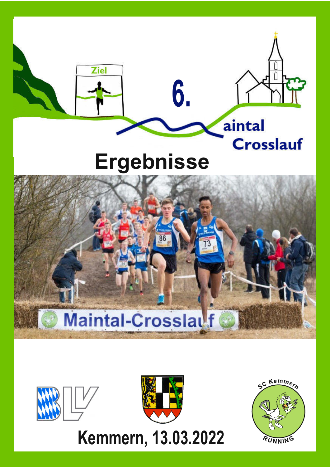





**Kemmern, 13.03.2022**

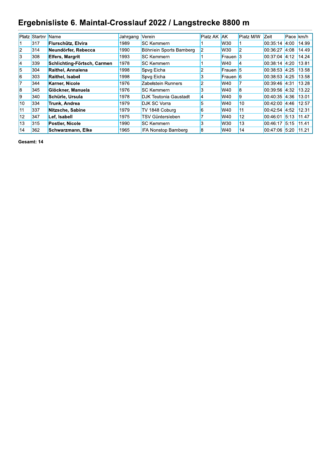# Ergebnisliste 6. Maintal-Crosslauf 2022 / Langstrecke 8800 m

|    | <b>Platz Startnr</b> | Name                        | Jahrgang | Verein                       | <b>Platz AK AK</b> |          | Platz M/W        | Zeit                | Pace km/h    |       |
|----|----------------------|-----------------------------|----------|------------------------------|--------------------|----------|------------------|---------------------|--------------|-------|
|    | 317                  | Flurschütz, Elvira          | 1989     | <b>SC Kemmern</b>            |                    | W30      |                  | 00.35.14            | 4:00         | 14.99 |
| 2  | 314                  | Neundörfer, Rebecca         | 1990     | Böhnlein Sports Bamberg      |                    | W30      |                  | 00:36:27            | 4:08 14.49   |       |
| l3 | 308                  | <b>Elfers, Margrit</b>      | 1993     | <b>SC Kemmern</b>            |                    | Frauen 3 |                  | $00:37:04$ 4:12     |              | 14.24 |
| 4  | 339                  | Schlichting-Förtsch, Carmen | 1978     | <b>SC Kemmern</b>            |                    | W40      | 14               | 00:38:14 4:20 13.81 |              |       |
| 5  | 304                  | Raithel, Annalena           | 1998     | Spvg Eicha                   | 2                  | Frauen 5 |                  | 00:38:53 4:25 13.58 |              |       |
| 6  | 303                  | <b>Raithel, Isabel</b>      | 1998     | Spvg Eicha                   | 3                  | Frauen 6 |                  | 00:38:53 4:25 13.58 |              |       |
| 7  | 344                  | Karner, Nicole              | 1976     | Zabelstein Runners           | $\overline{2}$     | W40      |                  | 00:39:46 4:31       |              | 13.28 |
| l8 | 345                  | Glöckner, Manuela           | 1976     | <b>SC Kemmern</b>            | 3                  | W40      | 8                | 00:39:56 4:32       |              | 13.22 |
| 19 | 340                  | Schürle, Ursula             | 1978     | <b>DJK Teutonia Gaustadt</b> | $\overline{4}$     | W40      | 9                | 00:40:35 4:36       |              | 13.01 |
| 10 | 334                  | <b>Trunk, Andrea</b>        | 1979     | <b>DJK SC Vorra</b>          | 5                  | W40      | 10               | 00:42:00            | $4:46$ 12.57 |       |
| 11 | 337                  | Nitzsche, Sabine            | 1979     | TV 1848 Coburg               | 6                  | W40      | 11               | 00:42:54 4:52 12.31 |              |       |
| 12 | 347                  | Lef, Isabell                | 1975     | TSV Güntersleben             |                    | W40      | 12 <sub>12</sub> | 00:46:01 5:13 11.47 |              |       |
| 13 | 315                  | Postler, Nicole             | 1990     | <b>SC Kemmern</b>            | 3                  | W30      | 13               | 00:46:17 5:15 11.41 |              |       |
| 14 | 362                  | Schwarzmann, Elke           | 1965     | <b>IFA Nonstop Bamberg</b>   | 8                  | W40      | 14               | 00:47:06 5:20 11.21 |              |       |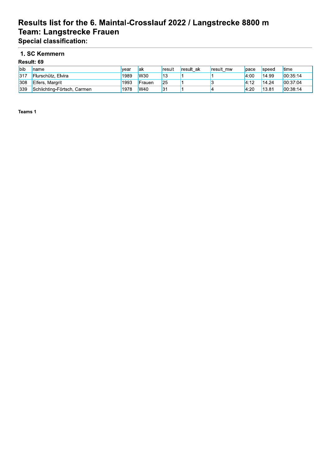# Results list for the 6. Maintal-Crosslauf 2022 / Langstrecke 8800 m Team: Langstrecke Frauen

**Special classification:** 

#### 1. SC Kemmern  $\mathbf{R}$

|            | Result: 69                  |      |            |        |           |           |      |              |               |  |  |  |  |
|------------|-----------------------------|------|------------|--------|-----------|-----------|------|--------------|---------------|--|--|--|--|
| <b>bib</b> | name                        | vear | lak        | result | result ak | result mw | pace | <b>Speed</b> | <b>l</b> time |  |  |  |  |
| 317        | Flurschütz, Elvira          | 1989 | <b>W30</b> | 13     |           |           | 4:00 | 14.99        | 00:35:14      |  |  |  |  |
| 308        | <b>Elfers, Margrit</b>      | 1993 | Frauen     | 25     |           |           | 4:12 | 14.24        | 00:37:04      |  |  |  |  |
| 339        | Schlichting-Förtsch, Carmen | 1978 | <b>W40</b> | 31     |           |           | 4:20 | 13.81        | 00:38:14      |  |  |  |  |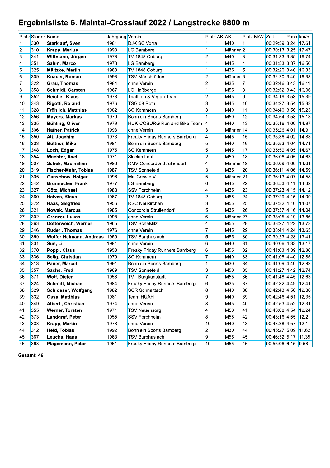# Ergebnisliste 6. Maintal-Crosslauf 2022 / Langstrecke 8800 m

|                         | <b>Platz</b> Startnr Name |                               | Jahrgang Verein |                                                 | Platz AK AK                          |                               | Platz M/W Zeit  |                                | Pace km/h      |
|-------------------------|---------------------------|-------------------------------|-----------------|-------------------------------------------------|--------------------------------------|-------------------------------|-----------------|--------------------------------|----------------|
|                         | 330                       | <b>Starklauf, Sven</b>        | 1981            | <b>DJK SC Vorra</b>                             |                                      | M40                           | 1               | 00:29:59 3:24                  | 17.61          |
| $\overline{2}$          | 310                       | <b>Krapp, Marius</b>          | 1993            | LG Bamberg                                      | 1                                    | Männer <sup>2</sup>           |                 | 00:30:13 3:25                  | 17.47          |
| $\vert$ 3               | 341                       | Wittmann, Jürgen              | 1978            | TV 1848 Coburg                                  | $\overline{2}$                       | M40                           | 3               | 00:31:33 3:35                  | 16.74          |
| 4                       | 351                       | Sahm, Marco                   | 1973            | LG Bamberg                                      | 1                                    | M45                           | $\vert 4 \vert$ | 00:31:53 3:37                  | 16.56          |
| 5                       | 325                       | Militzke, Martin              | 1983            | TV 1848 Coburg                                  | 1                                    | M35                           | 5               | 00:32:20 3:40                  | 16.33          |
| 6                       | 309                       | <b>Knauer, Roman</b>          | 1993            | TSV Mönchröden                                  | $\overline{2}$                       | Männer <sup>6</sup>           |                 | 00:32:20 3:40                  | 16.33          |
| 17                      | 322                       | Grau, Thomas                  | 1984            | ohne Verein                                     | $\overline{2}$                       | <b>M35</b>                    | 7               | 00:32:46 3:43                  | 16.11          |
| $\overline{\mathbf{8}}$ | 358                       | <b>Schmidt, Carsten</b>       | 1967            | LG Haßberge                                     | $\mathbf 1$                          | M <sub>55</sub>               | 8               | 00:32:52 3:43                  | 16.06          |
| l9                      | 352                       | <b>Reichel, Klaus</b>         | 1973            | Triathlon & Vegan Team                          | $\overline{2}$                       | M45                           | $\overline{9}$  | 00:34:19 3:53                  | 15.39          |
| 10                      | 343                       | Rigotti, Roland               | 1976            | TSG 08 Roth                                     | $\overline{\mathbf{3}}$              | M45                           | 10              | 00:34:27 3:54 15.33            |                |
| 11                      | 328                       | Fröhlich, Matthias            | 1982            | <b>SC Kemmern</b>                               | $\overline{3}$                       | M40                           | 11              | 00:34:40 3:56                  | 15.23          |
| 12                      | 356                       | <b>Mayers, Markus</b>         | 1970            | Böhnlein Sports Bamberg                         | 1                                    | <b>M50</b>                    | 12              | 00:34:54 3:58                  | 15.13          |
| 13                      | 335                       | <b>Bühling, Oliver</b>        | 1979            | HUK-COBURG Run and Bike-Team                    | 4                                    | M40                           | 13              | 00:35:16 4:00 14.97            |                |
| 14                      | 306                       | Häfner, Patrick               | 1993            | ohne Verein                                     | $\overline{3}$                       | Männer <sup>14</sup>          |                 | 00:35:26 4:01                  | 14.9           |
| 15                      | 350                       | Alt, Joachim                  | 1973            | Freaky Friday Runners Bamberg                   | $\vert$ 4                            | M45                           | 15              | 00:35:36 4:02                  | 14.83          |
| 16                      | 333                       | Büttner, Mike                 | 1981            | Böhnlein Sports Bamberg                         | 5                                    | M40                           | 16              | 00:35:53 4:04 14.71            |                |
| 17                      | 348                       | Loch, Edgar                   | 1975            | <b>SC Kemmern</b>                               | 5                                    | M45                           | 17              | 00:35:59 4:05                  | 14.67          |
| 18                      | 354                       | <b>Wachter, Axel</b>          | 1971            | <b>Skiclub Lauf</b>                             | 2                                    | <b>M50</b>                    | 18              | 00:36:06 4:05                  | 14.63          |
| 19                      | 307                       | Schek, Maximilian             | 1993            | <b>RMV Concordia Strullendorf</b>               | $\overline{\phantom{a}}$             | Männer <sup>19</sup>          |                 | 00:36:09 4:06                  | 14.61          |
| 20                      | 319                       | <b>Fischer-Mahr, Tobias</b>   | 1987            | <b>TSV Sonnefeld</b>                            | 3                                    | M <sub>35</sub>               | 20              | 00:36:11 4:06                  | 14.59          |
| 21                      | 305                       | <b>Ganschow, Holger</b>       | 1996            | MaliCrew e.V.                                   | 5                                    | Männer <sup>21</sup>          |                 | 00:36:13 4:07                  | 14.58          |
| 22                      | 342                       | <b>Brunnecker, Frank</b>      | 1977            | LG Bamberg                                      | 6                                    | M45                           | 22              | 00:36:53 4:11                  | 14.32          |
| 23                      | 327                       | Götz, Michael                 | 1983            | <b>SSV Forchheim</b>                            | $\vert$ 4                            | M35                           | 23              | 00:37:23 4:15                  | 14.12          |
| 24                      | 360                       | <b>Halves, Klaus</b>          | 1967            | TV 1848 Coburg                                  | 2                                    | M <sub>55</sub>               | 24              | 00:37:29 4:15                  | 14.09          |
| 25                      | 372                       | Haas, Siegfried               | 1956            | <b>RSC Neukirchen</b>                           | 3                                    | M <sub>55</sub>               | 25              | 00:37:32 4:16                  | 14.07          |
| 26                      | 321                       | <b>Nowak, Marcus</b>          | 1985            | Concordia Strullendorf                          | 5                                    | M35                           | 26              | 00:37:37 4:16                  | 14.04          |
| 27                      | 302                       | Grenzer, Lukas                | 1998            | ohne Verein                                     | 6                                    | Männer <sup>27</sup>          |                 | 00:38:05 4:19                  | 13.86          |
| 28                      | 363                       | Dotterweich, Werner           | 1965            | <b>TSV Scheßlitz</b>                            | $\overline{\phantom{a}}$             | M <sub>55</sub>               | 28              | 00:38:27 4:22                  | 13.73          |
| 29                      | 346                       | Ruder, Thomas                 | 1976            | ohne Verein                                     | $\overline{7}$                       | M45                           | 29              | 00:38:41 4:24                  | 13.65          |
| 30                      | 369                       | Wolfer-Heimann, Andreas       | 1959            | <b>TSV Burghaslach</b>                          | 5                                    | M <sub>55</sub>               | 30              | 00:39:23 4:28                  | 1341           |
| 31                      | 331                       | Sun, Li                       | 1981            | ohne Verein                                     | 6                                    | M40                           | 31              | 00:40:06 4:33                  | 13.17          |
| 32                      | 370                       | Popp, Claus                   | 1958            | Freaky Friday Runners Bamberg                   | 6                                    | M <sub>55</sub>               | 32              | 00:41:03 4:39                  | 12.86          |
| 33                      | 336                       | Selig, Christian              | 1979            | <b>SC Kemmern</b>                               | $\overline{7}$                       | M40                           | 33              | 00:41:05 4:40                  | 12.85          |
| 34<br>35                | 313<br>357                | Pauer, Marcel                 | 1991<br>1969    | Böhnlein Sports Bamberg<br><b>TSV Sonnefeld</b> | 1                                    | <b>M30</b>                    | 34<br>35        | 00:41:09 4:40                  | 12.83          |
|                         |                           | Sachs, Fred                   |                 |                                                 | $\overline{3}$<br>$\overline{7}$     | M <sub>50</sub>               |                 | 00:41:27 4:42                  | 12.74          |
| 36                      | 371                       | <b>Wolf, Dieter</b>           | 1958<br>1984    | TV - Burgkunstadt                               |                                      | M <sub>55</sub>               | 36              | 00:41:48 4:45 12.63            |                |
| 37                      | 324                       | Schmitt, Michael              |                 | Freaky Friday Runners Bamberg                   | $\vert 6 \vert$                      | M <sub>35</sub>               | 37              | 00:42:32 4:49 12.41            |                |
| 38                      | 329                       | <b>Schlosser, Wolfgang</b>    | 1982            | <b>SCR Schnaittach</b><br>Team HÜÄH             | $\boldsymbol{8}$                     | M40<br>M40                    | 38              | 00:42:43 4:50                  | 12.36          |
| 39                      | 332<br>349                | Ossa, Matthias                | 1981            |                                                 | 9                                    |                               | 39              | 00:42:46 4:51                  | 12.35          |
| 40                      |                           | Albert, Christian             | 1974            | ohne Verein                                     | $\bf{8}$                             | M45                           | 40              | 00:42:53 4:52                  | 12.31          |
| 41<br>42                | 355<br>373                | Werner, Torsten               | 1971<br>1955    | <b>TSV Neuensorg</b><br><b>SSV Forchheim</b>    | $\overline{\phantom{a}}$<br>$\bf{8}$ | <b>M50</b><br>M <sub>55</sub> | 41<br>42        | 00:43:08 4:54<br>00:43:16 4:55 | 12.24          |
| 43                      | 338                       | Landgraf, Peter               | 1978            | ohne Verein                                     | 10                                   | M40                           | 43              | 00:43:38 4:57                  | 12.2           |
| 44                      | 312                       | Krapp, Martin<br>Heid, Tobias | 1992            | Böhnlein Sports Bamberg                         | $\overline{2}$                       | M30                           | 44              | 00:45:27 5:09                  | 12.1           |
| 45                      | 367                       | Leuchs, Hans                  | 1963            | <b>TSV Burghaslach</b>                          | 9                                    | M <sub>55</sub>               | 45              | 00:46:32 5:17                  | 11.62<br>11.35 |
| 46                      |                           |                               |                 |                                                 |                                      |                               |                 | 00:55:06 6:15 9.58             |                |
|                         | 368                       | Plagemann, Peter              | 1961            | <b>Freaky Friday Runners Bamberg</b>            | 10                                   | M <sub>55</sub>               | 46              |                                |                |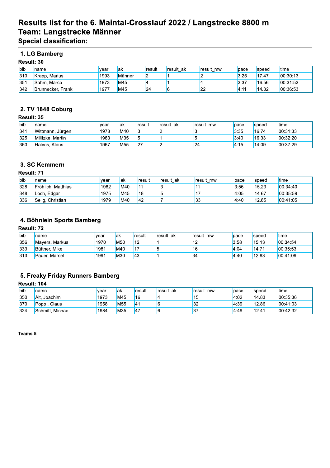## Results list for the 6. Maintal-Crosslauf 2022 / Langstrecke 8800 m Team: Langstrecke Männer

**Special classification:** 

## 1. LG Bamberg

| <b>Result: 30</b> |
|-------------------|
|                   |

| <b>l</b> bib | Iname                    | vear | lak    | result | result ak | result mw   | pace  | speed | <b>Itime</b> |
|--------------|--------------------------|------|--------|--------|-----------|-------------|-------|-------|--------------|
| 1310         | Krapp, Marius            | 1993 | Männer |        |           |             | 3:25  | 17.47 | 100.30:13    |
| 351          | Sahm, Marco              | 1973 | M45    |        |           |             | 13:37 | 16.56 | 00:31:53     |
| 342          | <b>Brunnecker, Frank</b> | 1977 | M45    | 24     |           | $\sim$<br>- | 14:11 | 14.32 | 00.36.53     |

## 2. TV 1848 Coburg

#### Result: 35

| <b>I</b> bib | Iname            | vear | lak             | result | result ak | result mw | pace | speed | <b>Itime</b> |
|--------------|------------------|------|-----------------|--------|-----------|-----------|------|-------|--------------|
| 341          | Wittmann, Jürgen | 1978 | M40             |        |           |           | 3:35 | 16.74 | 00:31:33     |
| 325          | Militzke, Martin | 1983 | <b>M35</b>      |        |           |           | 3:40 | 16.33 | 00:32:20     |
| 360          | Halves, Klaus    | 1967 | M <sub>55</sub> | 27     |           | 24        | 4:15 | 14.09 | 00:37:29     |

### 3. SC Kemmern

#### Result: 71

| <b>I</b> bib | <b>Iname</b>       | vear | lak        | result     | <b>result</b> ak | result mw | pace | speed | <b>Itime</b> |
|--------------|--------------------|------|------------|------------|------------------|-----------|------|-------|--------------|
| 328          | Fröhlich. Matthias | 1982 | IM40       | <b>14</b>  |                  |           | 3:56 | 15.23 | 100:34:40    |
| 348          | Loch. Edgar        | 1975 | <b>M45</b> | <b>1</b> 8 |                  |           | 4:05 | 14.67 | 00:35:59     |
| 336          | Selig, Christian   | 1979 | <b>M40</b> | 42         |                  | 33        | 4:40 | 12.85 | 00:41:05     |

## 4. Böhnlein Sports Bamberg

### Result: 72

| <b>l</b> bib | name           | vear | lak        | result | result ak | result mw | pace | speed | time     |
|--------------|----------------|------|------------|--------|-----------|-----------|------|-------|----------|
| 356          | Mayers, Markus | 1970 | <b>M50</b> | 12     |           | . .       | 3:58 | 15.13 | 00:34:54 |
| 333          | Büttner, Mike  | 1981 | M40        | 14.Z   |           | 16        | 4:04 | 14.71 | 00:35:53 |
| 313          | Pauer, Marcel  | 1991 | M30        | 43     |           | 34        | 4:40 | 12.83 | 00:41:09 |

## 5. Freaky Friday Runners Bamberg

### Result: 104

| <b>l</b> bib | name             | <b>Ivear</b> | lak        | result          | result ak | result mw | pace | speed | time     |
|--------------|------------------|--------------|------------|-----------------|-----------|-----------|------|-------|----------|
| 350          | Alt. Joachim     | 1973         | <b>M45</b> | 16              |           | כ ו       | 4:02 | 14.83 | 00:35:36 |
| 370          | Claus<br>Popp    | 1958         | <b>M55</b> | 14 <sup>1</sup> |           | 32        | 4:39 | 12.86 | 00:41:03 |
| 324          | Schmitt, Michael | 1984         | <b>M35</b> | 47              |           | 137       | 4:49 | 12.41 | 00:42:32 |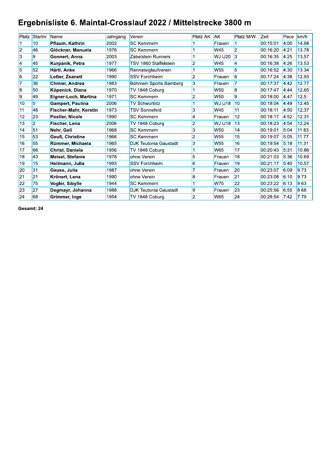## Ergebnisliste 6. Maintal-Crosslauf 2022 / Mittelstrecke 3800 m

| Platz                   | Startnr        | <b>Name</b>             | Jahrgang | Verein                       | <b>Platz AK</b> | <b>AK</b>       | Platz M/W               | Zeit     | Pace | km/h  |
|-------------------------|----------------|-------------------------|----------|------------------------------|-----------------|-----------------|-------------------------|----------|------|-------|
|                         | 10             | Pflaum, Kathrin         | 2002     | <b>SC Kemmern</b>            |                 | Frauen          |                         | 00:15:01 | 4:00 | 14.98 |
| $\overline{\mathbf{c}}$ | 46             | Glöckner, Manuela       | 1976     | <b>SC Kemmern</b>            |                 | W45             | $\overline{2}$          | 00:16:20 | 4:21 | 13.78 |
| $\overline{\mathbf{3}}$ | 9              | Gonnert, Anna           | 2003     | Zabelstein Runners           |                 | <b>WJ U20</b>   | $\vert$ 3               | 00:16:35 | 4:25 | 13.57 |
| 4                       | 45             | Kurpanik, Petra         | 1977     | TSV 1860 Staffelstein        | $\overline{2}$  | W45             | 4                       | 00:16:38 | 4:26 | 13.53 |
| $\overline{5}$          | 52             | Härtl, Anke             | 1966     | Rennsteiglaufverein          |                 | W <sub>55</sub> | $\overline{5}$          | 00:16:52 | 4:30 | 13.34 |
| $\overline{6}$          | 22             | Lotter, Zsanett         | 1990     | <b>SSV Forchheim</b>         | 2               | Frauen          | 6                       | 00:17:24 | 4:38 | 12.93 |
| $\overline{7}$          | 36             | Chmiel, Andrea          | 1983     | Böhnlein Sports Bamberg      | 3               | Frauen          |                         | 00.17:37 | 4:42 | 12.77 |
| $\overline{8}$          | 50             | Köpenick, Diana         | 1970     | TV 1848 Coburg               |                 | W <sub>50</sub> | $\overline{\mathbf{8}}$ | 00.17.47 | 4:44 | 12.65 |
| $\overline{9}$          | 49             | Eigner-Loch, Martina    | 1971     | <b>SC Kemmern</b>            | 2               | W50             | 9                       | 00:18:00 | 4:47 | 12.5  |
| 10                      | 5              | <b>Gampert, Paulina</b> | 2006     | TV Schwürbitz                |                 | <b>WJ U18</b>   | 10                      | 00:18:04 | 4:49 | 12.45 |
| 11                      | 48             | Fischer-Mahr, Kerstin   | 1973     | <b>TSV Sonnefeld</b>         | 3               | W45             | 11                      | 00:18:11 | 4:50 | 12.37 |
| 12                      | 23             | Postler, Nicole         | 1990     | <b>SC Kemmern</b>            | $\overline{4}$  | Frauen          | 12                      | 00:18:17 | 4:52 | 12.31 |
| 13                      | $\overline{2}$ | Fischer, Lena           | 2006     | TV 1848 Coburg               | $\overline{2}$  | <b>WJ U18</b>   | 13                      | 00:18:23 | 4:54 | 12.24 |
| 14                      | 51             | Nehr, Geli              | 1968     | <b>SC Kemmern</b>            | 3               | W <sub>50</sub> | 14                      | 00:19:01 | 5:04 | 11.83 |
| 15                      | 53             | <b>Geuß, Christine</b>  | 1966     | <b>SC Kemmern</b>            | 2               | W <sub>55</sub> | 15                      | 00:19:07 | 5:05 | 11.77 |
| 16                      | 55             | Rümmer, Michaela        | 1965     | <b>DJK Teutonia Gaustadt</b> | 3               | W <sub>55</sub> | 16                      | 00:19:54 | 5:18 | 11.31 |
| 17                      | 66             | Christ, Daniela         | 1956     | TV 1848 Coburg               |                 | W65             | 17                      | 00:20:43 | 5:31 | 10.86 |
| 18                      | 43             | <b>Meisel, Stefanie</b> | 1978     | ohne Verein                  | 5               | Frauen          | 18                      | 00:21:03 | 5:36 | 10.69 |
| 19                      | 15             | Heilmann, Julia         | 1993     | <b>SSV Forchheim</b>         | 6               | Frauen          | 19                      | 00:21:17 | 5:40 | 10.57 |
| 20                      | 31             | Geuss, Julia            | 1987     | ohne Verein                  | 17              | Frauen          | 20                      | 00:23:07 | 6:09 | 9.73  |
| 21                      | 21             | Krönert, Lena           | 1990     | ohne Verein                  | 8               | Frauen          | 21                      | 00:23:08 | 6:10 | 9.73  |
| 22                      | 75             | Vogler, Sibylle         | 1944     | <b>SC Kemmern</b>            |                 | W75             | 22                      | 00:23:22 | 6:13 | 9.63  |
| 23                      | 27             | Degmayr, Johanna        | 1988     | <b>DJK Teutonia Gaustadt</b> | 9               | Frauen          | 23                      | 00:25:56 | 6:55 | 8.68  |
| 24                      | 68             | Grimmer, Inge           | 1954     | TV 1848 Coburg               | 2               | W65             | 24                      | 00:28:54 | 7:42 | 7.79  |
|                         |                |                         |          |                              |                 |                 |                         |          |      |       |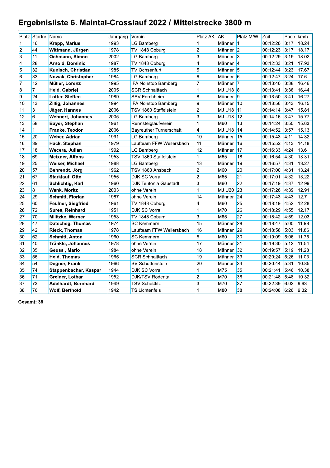## Ergebnisliste 6. Maintal-Crosslauf 2022 / Mittelstrecke 3800 m

|                             | Platz Startnr           | Name                      | Jahrgang | Verein                         | Platz AK                 | <b>AK</b>             | Platz M/W       | Zeit     | Pace km/h |       |
|-----------------------------|-------------------------|---------------------------|----------|--------------------------------|--------------------------|-----------------------|-----------------|----------|-----------|-------|
| 11                          | 16                      | Krapp, Marius             | 1993     | LG Bamberg                     |                          | Männer                | 11              | 00:12:20 | 3:17      | 18.24 |
| $\overline{\mathbf{c}}$     | 44                      | Wittmann, Jürgen          | 1978     | TV 1848 Coburg                 | $\overline{\mathbf{2}}$  | Männer <sup>1</sup> 2 |                 | 00.12.23 | 3:17      | 18.17 |
| $\overline{3}$              | 11                      | Ochmann, Simon            | 2002     | LG Bamberg                     | $\overline{3}$           | Männer                | $\overline{3}$  | 00:12:29 | 3:19      | 18.02 |
| $\vert 4 \vert$             | 28                      | <b>Arnold, Dominic</b>    | 1987     | TV 1848 Coburg                 | $\overline{4}$           | Männer                | $\vert 4 \vert$ | 00.12.33 | 3:21      | 17.93 |
| $\overline{5}$              | 32                      | Kunisch, Christian        | 1985     | <b>TV Ochsenfurt</b>           | $\overline{5}$           | Männer                | $\sqrt{5}$      | 00:12:44 | 3:23      | 17.67 |
| $\overline{6}$              | 33                      | <b>Nowak, Christopher</b> | 1984     | LG Bamberg                     | 6                        | Männer <sup>6</sup>   |                 | 00:12:47 | 3:24      | 17.6  |
| $\overline{7}$              | 12                      | Müller, Lorenz            | 1995     | <b>IFA Nonstop Bamberg</b>     | 7                        | Männer                | 17              | 00.13.40 | 3:38      | 16.46 |
| $\overline{\boldsymbol{8}}$ | $\overline{7}$          | Heid, Gabriel             | 2005     | <b>SCR Schnaittach</b>         | 1                        | MJ U18 8              |                 | 00:13:41 | 3:38      | 16.44 |
| $\overline{9}$              | 24                      | Lotter, Steffen           | 1989     | <b>SSV Forchheim</b>           | $\overline{\mathbf{8}}$  | Männer                | $\vert$ 9       | 00:13:50 | 3:41      | 16.27 |
| 10                          | 13                      | Zillig, Johannes          | 1994     | <b>IFA Nonstop Bamberg</b>     | 9                        | Männer                | $\vert$ 10      | 00:13:56 | 3:43      | 16.15 |
| 11                          | 3                       | Jäger, Hannes             | 2006     | TSV 1860 Staffelstein          | $\overline{2}$           | MJ U18                | $\vert$ 11      | 00:14:14 | 3:47      | 15.81 |
| 12                          | $6\overline{6}$         | <b>Wehnert, Johannes</b>  | 2005     | LG Bamberg                     | $\overline{3}$           | MJ U18                | 12              | 00:14:16 | 3:47      | 15.77 |
| 13                          | 58                      | <b>Bayer, Stephan</b>     | 1961     | Rennsteiglaufverein            | 1                        | <b>M60</b>            | 13              | 00:14:24 | 3:50      | 15.63 |
| 14                          | $\mathbf{1}$            | Franke, Teodor            | 2006     | <b>Bayreuther Turnerschaft</b> | $\overline{\phantom{a}}$ | <b>MJ U18</b>         | 14              | 00:14:52 | 3:57      | 15.13 |
| 15                          | 20                      | Weber, Adrian             | 1991     | <b>LG Bamberg</b>              | 10                       | Männer                | 15              | 00:15:43 | 4:11      | 14.32 |
| 16                          | 39                      | Hack, Stephan             | 1979     | Laufteam FFW Weilersbach       | 11                       | Männer                | 16              | 00:15:52 | 4:13      | 14.18 |
| 17                          | 18                      | Wecera, Julian            | 1992     | LG Bamberg                     | 12                       | Männer                | 17              | 00:16:33 | 4:24      | 13.6  |
| 18                          | 69                      | <b>Meixner, Alfons</b>    | 1953     | <b>TSV 1860 Staffelstein</b>   | 1                        | M65                   | 18              | 00:16:54 | 4:30      | 13.31 |
| 19                          | 25                      | <b>Weiser, Michael</b>    | 1988     | LG Bamberg                     | 13                       | Männer                | 19              | 00:16:57 | 4:31      | 13.27 |
| 20                          | 57                      | Behrendt, Jörg            | 1962     | TSV 1860 Ansbach               | $\overline{2}$           | <b>M60</b>            | 20              | 00:17:00 | 4:31      | 13.24 |
| $\overline{21}$             | 67                      | Starklauf, Otto           | 1955     | DJK SC Vorra                   | $\overline{2}$           | M65                   | 21              | 00:17:01 | 4:32      | 13.22 |
| $\overline{22}$             | 61                      | Schlichtig, Karl          | 1960     | DJK Teutonia Gaustadt          | 3                        | M60                   | $\overline{22}$ | 00:17:19 | 4:37      | 12.99 |
| 23                          | $\overline{\mathbf{8}}$ | <b>Wank, Moritz</b>       | 2003     | ohne Verein                    | $\overline{1}$           | MJ U20                | 23              | 00:17:26 | 4:39      | 12.91 |
| 24                          | 29                      | Schmitt, Florian          | 1987     | ohne Verein                    | 14                       | Männer                | 24              | 00:17:43 | 4:43      | 12.7  |
| 25                          | 60                      | Feulner, Siegfried        | 1961     | TV 1848 Coburg                 | 4                        | M60                   | 25              | 00:18:19 | 4:52      | 12.28 |
| 26                          | 72                      | <b>Sures, Reinhard</b>    | 1951     | <b>DJK SC Vorra</b>            | 1                        | <b>M70</b>            | 26              | 00:18:29 | 4:55      | 12.17 |
| 27                          | 70                      | Militzke, Werner          | 1953     | TV 1848 Coburg                 | 3                        | M65                   | 27              | 00:18:42 | 4:59      | 12.03 |
| 28                          | 47                      | <b>Datscheg, Thomas</b>   | 1974     | <b>SC Kemmern</b>              | 15                       | Männer                | 28              | 00:18:47 | 5:00      | 11.98 |
| 29                          | 42                      | <b>Rieck, Thomas</b>      | 1978     | Laufteam FFW Weilersbach       | 16                       | Männer                | 29              | 00:18:58 | 5:03      | 11.86 |
| 30                          | 62                      | <b>Schmitt, Anton</b>     | 1960     | <b>SC Kemmern</b>              | 5                        | <b>M60</b>            | 30              | 00:19:09 | 5:06      | 11.75 |
| 31                          | 40                      | Tränkle, Johannes         | 1978     | ohne Verein                    | 17                       | Männer                | 31              | 00:19:30 | 5:12      | 11.54 |
| 32                          | 35                      | Geuss, Mario              | 1984     | ohne Verein                    | 18                       | Männer                | 32              | 00:19:57 | 5:19      | 11.28 |
| 33                          | 56                      | <b>Heid, Thomas</b>       | 1965     | <b>SCR Schnaittach</b>         | 19                       | Männer                | 33              | 00:20:24 | 5:26      | 11.03 |
| 34                          | 54                      | Degner, Frank             | 1966     | <b>SV Schottenstein</b>        | 20                       | Männer                | 34              | 00:20:44 | 5:31      | 10.85 |
| 35                          | 74                      | Stappenbacher, Kaspar     | 1944     | <b>DJK SC Vorra</b>            | 1                        | M75                   | 35              | 00:21:41 | 5:46      | 10.38 |
| 36                          | 71                      | Greiner, Lothar           | 1952     | DJK/TSV Rödental               | $\overline{2}$           | <b>M70</b>            | 36              | 00:21:48 | 5:48      | 10.32 |
| 37                          | 73                      | Adelhardt, Bernhard       | 1949     | <b>TSV Scheßlitz</b>           | 3                        | M70                   | 37              | 00:22:39 | 6:02      | 9.93  |
| 38                          | 76                      | <b>Wolf, Berthold</b>     | 1942     | <b>TS Lichtenfels</b>          | 1                        | <b>M80</b>            | 38              | 00:24:08 | 6:26      | 9.32  |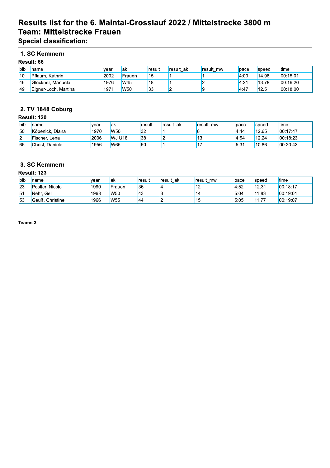## Results list for the 6. Maintal-Crosslauf 2022 / Mittelstrecke 3800 m Team: Mittelstrecke Frauen

**Special classification:** 

## 1. SC Kemmern

### Result: 66

| <b>bib</b> | Iname                | vear | lak             | result | result ak | result mw | pace  | <b>speed</b> | time     |
|------------|----------------------|------|-----------------|--------|-----------|-----------|-------|--------------|----------|
| 110        | Pflaum, Kathrin      | 2002 | Frauen          | 15     |           |           | 4:00  | 14.98        | 00.15:01 |
| <b>46</b>  | Glöckner, Manuela    | 1976 | <b>W45</b>      | 18     |           |           | 4:21  | 13.78        | 00:16:20 |
| 49         | Eigner-Loch, Martina | 1971 | W <sub>50</sub> | 33     |           |           | 14:47 | 12.5         | 00:18:00 |

## 2. TV 1848 Coburg

#### Result: 120

| <b>l</b> bib | Iname           | vear | lak            | <b></b> result | result ak | result mw | pace | speed | <b>I</b> time |
|--------------|-----------------|------|----------------|----------------|-----------|-----------|------|-------|---------------|
| 150          | Köpenick, Diana | 1970 | <b>W50</b>     | 32             |           |           | 4:44 | 12.65 | 00:17:47      |
| l2           | Fischer, Lena   | 2006 | <b>IWJ U18</b> | 38             |           | ں ا       | 4:54 | 12.24 | 00:18:23      |
| 66           | Christ. Daniela | 1956 | <b>W65</b>     | 50             |           |           | 5:31 | 10.86 | 00:20:43      |

## 3. SC Kemmern

### **Result: 123**

| lbib | Iname                  | vear | lak             | result    | result ak | result<br>mw | pace | <b>speed</b> | <b>Itime</b> |
|------|------------------------|------|-----------------|-----------|-----------|--------------|------|--------------|--------------|
| 123  | Postler, Nicole        | 1990 | Frauen          | 36        |           | . .          | 4:52 | 12.31        | 00:18:17     |
| 151  | Geli<br>Nehr.          | 1968 | <b>W50</b>      | 43        |           |              | 5:04 | 11.83        | 00:19:01     |
| 153  | Christine<br>้'Geuß. เ | 1966 | W <sub>55</sub> | <b>44</b> |           |              | 5:05 | 11<br>.      | 00:19:07     |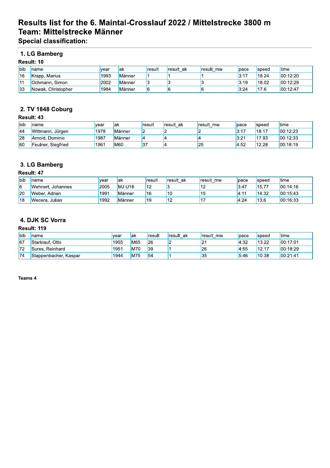## Results list for the 6. Maintal-Crosslauf 2022 / Mittelstrecke 3800 m Team: Mittelstrecke Männer

**Special classification:** 

## 1. LG Bamberg

### Result: 10

| <b>l</b> bib | Iname              | vear | lak           | result | <b>result</b> ak | result mw | pace | speed | <b>Itime</b> |
|--------------|--------------------|------|---------------|--------|------------------|-----------|------|-------|--------------|
| 116          | Krapp, Marius      | 1993 | <b>Männer</b> |        |                  |           | 3:17 | 18.24 | 00:12:20     |
| $\vert$ 11   | Ochmann, Simon     | 2002 | <b>Männer</b> |        |                  |           | 3:19 | 18.02 | 00.12.29     |
| 133          | Nowak, Christopher | 1984 | <b>Männer</b> |        | ll.              |           | 3:24 | 17.6  | 00.12.47     |

## 2. TV 1848 Coburg

#### Result: 43

| <b>bib</b> | Iname              | <b>vear</b> | lak    | result | result ak | result mw | pace | speed | time     |
|------------|--------------------|-------------|--------|--------|-----------|-----------|------|-------|----------|
| 144        | Wittmann, Jürgen   | 1978        | Männer |        |           |           | 3:17 | 18.17 | 00:12:23 |
| 28         | Arnold, Dominic    | 1987        | Männer |        |           |           | 3:21 | 17.93 | 00:12:33 |
| <b>60</b>  | Feulner, Siegfried | 1961        | M60    | 137    |           | 25        | 4:52 | 12.28 | 00:18:19 |

### 3. LG Bamberg

### Result: 47

| <b>l</b> bib | Iname             | wear | lak                | result | result ak | result mw | pace | <i>speed</i> | <b>I</b> time |
|--------------|-------------------|------|--------------------|--------|-----------|-----------|------|--------------|---------------|
| 6            | Wehnert. Johannes | 2005 | MJ U <sub>18</sub> | 12     |           | . .       | 3:47 | 15.77        | 100:14:16     |
| <b>20</b>    | Weber, Adrian     | 1991 | Männer             | 16     | 10        |           | 4:11 | 14.32        | 00:15:43      |
| 118          | Wecera, Julian    | 1992 | Männer             | 19     | '12       |           | 4:24 | 13.6         | 100:16:33     |

## 4. DJK SC Vorra

#### Result: 119

| <b>l</b> bib | <b>Iname</b>          | <b>Ivear</b> | lak | <b>result</b> | <b>result</b> ak | result mw | <b>Dace</b> | speed  | <b>I</b> time |
|--------------|-----------------------|--------------|-----|---------------|------------------|-----------|-------------|--------|---------------|
| 167          | Starklauf, Otto       | 1955         | M65 | 26            |                  | L.        | 4:32        | 13.22  | 00:17:01      |
| 172          | Sures. Reinhard       | 1951         | M70 | 39            |                  | 26        | 14:55       | 112.17 | 00:18:29      |
| 74           | Stappenbacher, Kaspar | 1944         | M75 | 54            |                  | 35        | 5:46        | 10.38  | 00:21:41      |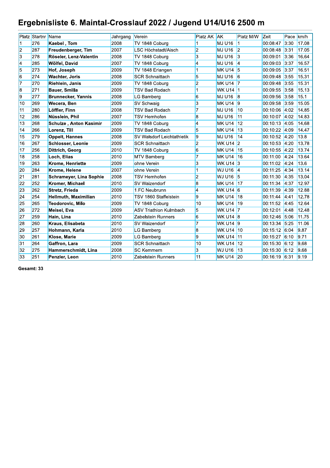# Ergebnisliste 6. Maintal-Crosslauf 2022 / Jugend U14/U16 2500 m

|                | Platz Startnr Name |                           | Jahrgang | Verein                            | Platz AK                | <b>JAK</b>         | Platz M/W      | Zeit     | Pace km/h |       |
|----------------|--------------------|---------------------------|----------|-----------------------------------|-------------------------|--------------------|----------------|----------|-----------|-------|
| 11             | 276                | <b>Kaebel, Tom</b>        | 2008     | TV 1848 Coburg                    |                         | MJ U <sub>16</sub> | 1              | 00:08:47 | 3:30      | 17.08 |
| $\overline{2}$ | 287                | Freudenberger, Tim        | 2007     | LSC Höchstadt/Aisch               | $\overline{2}$          | MJ U16             | $\overline{2}$ | 00:08:48 | 3:31      | 17.05 |
| 3              | 278                | Röseler, Lenz-Valentin    | 2008     | TV 1848 Coburg                    | 3                       | MJ U <sub>16</sub> | 13             | 00:09:01 | 3:36      | 16.64 |
| 4              | 285                | Wölfel, David             | 2007     | TV 1848 Coburg                    | 4                       | MJ U <sub>16</sub> | $\vert$ 4      | 00:09:03 | 3:37      | 16.57 |
| 5              | 273                | Hof, Joseph               | 2009     | TV 1848 Erlangen                  | 1                       | MK U14 5           |                | 00:09:05 | 3:37      | 16.51 |
| 6              | 274                | <b>Wachter, Joris</b>     | 2008     | <b>SCR Schnaittach</b>            | 5                       | MJ U16             | $\overline{6}$ | 00:09:48 | 3:55      | 15.31 |
| $\overline{7}$ | 270                | Riehlein, Janis           | 2009     | TV 1848 Coburg                    | $\overline{2}$          | MK U14 7           |                | 00:09:48 | 3:55      | 15.31 |
| 8              | 271                | <b>Bauer, Smilla</b>      | 2009     | <b>TSV Bad Rodach</b>             | 1                       | WK U14 1           |                | 00:09:55 | 3:58      | 15.13 |
| 9              | 277                | <b>Brunnecker, Yannis</b> | 2008     | LG Bamberg                        | 6                       | MJ U16             | 8              | 00:09:56 | 3:58      | 15.1  |
| 10             | 269                | Wecera, Ben               | 2009     | <b>SV Schwaig</b>                 | 3                       | MK U14 9           |                | 00:09:58 | 3:59      | 15.05 |
| 11             | 280                | Löffler, Finn             | 2008     | <b>TSV Bad Rodach</b>             | $\overline{7}$          | MJ U16             | 10             | 00:10:06 | 4:02      | 14.85 |
| 12             | 286                | Nüsslein, Phil            | 2007     | <b>TSV Hemhofen</b>               | 8                       | MJ U <sub>16</sub> | 11             | 00:10:07 | 4:02      | 14.83 |
| 13             | 268                | Schulze, Anton Kasimir    | 2009     | TV 1848 Coburg                    | $\overline{\mathbf{4}}$ | MK U14             | 12             | 00:10:13 | 4:05      | 14.68 |
| 14             | 266                | Lorenz, Till              | 2009     | <b>TSV Bad Rodach</b>             | 5                       | MK U14             | 13             | 00:10:22 | 14:09     | 14.47 |
| 15             | 279                | <b>Oppelt, Hannes</b>     | 2008     | <b>SV Walsdorf Leichtathletik</b> | 9                       | MJ U16             | 14             | 00:10:52 | 4:20      | 13.8  |
| 16             | 267                | Schlosser, Leonie         | 2009     | <b>SCR Schnaittach</b>            | $\overline{c}$          | <b>WK U14 2</b>    |                | 00:10:53 | 4:20      | 13.78 |
| 17             | 256                | Dittrich, Georg           | 2010     | TV 1848 Coburg                    | 6                       | MK U <sub>14</sub> | 15             | 00:10:55 | 4:22      | 13.74 |
| 18             | 258                | Loch, Elias               | 2010     | <b>MTV Bamberg</b>                | $\overline{7}$          | MK U14             | 16             | 00:11:00 | 4:24      | 13.64 |
| 19             | 263                | Krome, Henriette          | 2009     | ohne Verein                       | 3                       | <b>WK U14</b> 3    |                | 00:11:02 | 4:24      | 13.6  |
| 20             | 284                | Krome, Helene             | 2007     | ohne Verein                       | 1                       | <b>WJ U16</b> 4    |                | 00:11:25 | 4:34      | 13.14 |
| 21             | 281                | Schrameyer, Lina Sophie   | 2008     | <b>TSV Hemhofen</b>               | $\overline{c}$          | <b>WJ U16</b>      | -15            | 00:11:30 | 4:35      | 13.04 |
| 22             | 252                | Kromer, Michael           | 2010     | SV Waizendorf                     | 8                       | MK U <sub>14</sub> | 17             | 00:11:34 | 4:37      | 12.97 |
| 23             | 262                | Stretz, Frieda            | 2009     | 1.FC Neubrunn                     | 4                       | WK U14 6           |                | 00:11:39 | 4:39      | 12.88 |
| 24             | 254                | Hellmuth, Maximilian      | 2010     | <b>TSV 1860 Staffelstein</b>      | 9                       | MK U14             | 18             | 00:11:44 | 14:41     | 12.78 |
| 25             | 265                | Teodorovic, Milo          | 2009     | TV 1848 Coburg                    | 10                      | MK U14             | 19             | 00:11:52 | 4:45      | 12.64 |
| 26             | 272                | Meisel, Eva               | 2009     | <b>ASV Triathlon Kulmbach</b>     | 5                       | <b>WK U14 7</b>    |                | 00:12:01 | 14:48     | 12.48 |
| 27             | 259                | Hain, Lina                | 2010     | Zabelstein Runners                | 6                       | <b>WK U14 8</b>    |                | 00:12:46 | 5:06      | 11.75 |
| 28             | 260                | Kraus, Elisabeta          | 2010     | <b>SV</b> Waizendorf              | $\overline{7}$          | WK U14 9           |                | 00:13:34 | 5:25      | 11.06 |
| 29             | 257                | Hohmann, Karla            | 2010     | <b>LG Bamberg</b>                 | 8                       | WK U14 10          |                | 00:15:12 | 6:04      | 9.87  |
| 30             | 261                | Klose, Marie              | 2009     | LG Bamberg                        | 9                       | WK U14 11          |                | 00:15:27 | 6:10      | 9.71  |
| 31             | 264                | Gaffron, Lara             | 2009     | <b>SCR Schnaittach</b>            | 10                      | <b>WK U14</b>      | $ 12\rangle$   | 00:15:30 | 6:12      | 9.68  |
| 32             | 275                | Hammerschmidt, Lina       | 2008     | <b>SC Kemmern</b>                 | 3                       | <b>WJ U16</b>      | 13             | 00:15:30 | 6:12      | 9.68  |
| 33             | 251                | Penzler, Leon             | 2010     | Zabelstein Runners                | 11                      | MK U14 20          |                | 00:16:19 | 6:31      | 9.19  |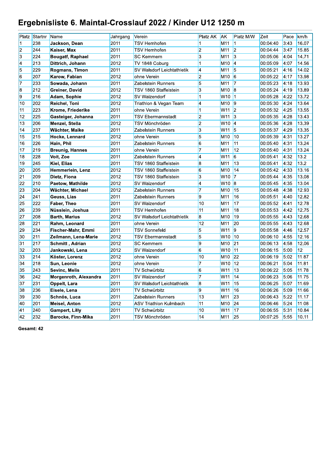## Ergebnisliste 6. Maintal-Crosslauf 2022 / Kinder U12 1250 m

|                         | Platz Startnr Name |                           | Jahrgang | Verein                        | Platz AK                 | <b>AK</b>       | Platz M/W               | Zeit     | Pace | km/h  |
|-------------------------|--------------------|---------------------------|----------|-------------------------------|--------------------------|-----------------|-------------------------|----------|------|-------|
| 1                       | 238                | Jackson, Dean             | 2011     | <b>TSV Hemhofen</b>           | 1                        | M <sub>11</sub> | $\mathbf{1}$            | 00:04:40 | 3:43 | 16.07 |
| $\overline{2}$          | 244                | Kaiser, Max               | 2011     | <b>TSV Hemhofen</b>           | $\overline{2}$           | M <sub>11</sub> | $\overline{2}$          | 00:04:44 | 3:47 | 15.85 |
| $\overline{\mathbf{3}}$ | 224                | <b>Bougatf, Raphael</b>   | 2011     | <b>SC Kemmern</b>             | 3                        | M <sub>11</sub> | $\overline{3}$          | 00:05:06 | 4:04 | 14.71 |
| $\overline{4}$          | 213                | Dittrich, Johann          | 2012     | TV 1848 Coburg                | $\mathbf{1}$             | M <sub>10</sub> | 4                       | 00:05:09 | 4:07 | 14.56 |
| $\overline{5}$          | 229                | Rogmans, Timon            | 2011     | SV Walsdorf Leichtathletik    | $\overline{\phantom{a}}$ | M11             | 5                       | 00:05:21 | 4:16 | 14.02 |
| $\overline{6}$          | 207                | Karow, Fabian             | 2012     | ohne Verein                   | $\overline{2}$           | M <sub>10</sub> | $\overline{6}$          | 00.05.22 | 4:17 | 13.98 |
| 7                       | 233                | Sowada, Johann            | 2011     | Zabelstein Runners            | 5                        | M11             | $\overline{7}$          | 00:05:23 | 4:18 | 13.93 |
| $\overline{\mathbf{8}}$ | 212                | <b>Greiner, David</b>     | 2012     | TSV 1860 Staffelstein         | $\overline{\mathbf{3}}$  | M <sub>10</sub> | $\vert 8$               | 00:05:24 | 4:19 | 13.89 |
| 9                       | 216                | Adam, Sophie              | 2012     | <b>SV Waizendorf</b>          | $\mathbf{1}$             | W10             | $\vert$ 1               | 00:05:28 | 4:22 | 13.72 |
| 10                      | 202                | <b>Reichel, Toni</b>      | 2012     | Triathlon & Vegan Team        | $\overline{\bf{4}}$      | M <sub>10</sub> | $\vert$ 9               | 00:05:30 | 4:24 | 13.64 |
| 11                      | 223                | Krome, Friederike         | 2011     | ohne Verein                   | $\mathbf{1}$             | W11             | $\overline{2}$          | 00:05:32 | 4:25 | 13.55 |
| 12                      | 225                | Gasteiger, Johanna        | 2011     | <b>TSV Ebermannstadt</b>      | $\overline{2}$           | W11             | $\vert$ 3               | 00:05:35 | 4:28 | 13.43 |
| 13                      | 206                | Menzel, Stella            | 2012     | <b>TSV Mönchröden</b>         | $\overline{2}$           | W10             | $\overline{4}$          | 00:05:36 | 4:28 | 13.39 |
| 14                      | 237                | Wächter, Maike            | 2011     | Zabelstein Runners            | 3                        | W11             | 5                       | 00:05:37 | 4:29 | 13.35 |
| 15                      | 215                | Hocke, Lennard            | 2012     | ohne Verein                   | $\overline{5}$           | M <sub>10</sub> | 10                      | 00:05:39 | 4:31 | 13.27 |
| 16                      | 226                | Hain, Phil                | 2011     | Zabelstein Runners            | 6                        | M11             | $\overline{11}$         | 00:05:40 | 4:31 | 13.24 |
| 17                      | 219                | <b>Breunig, Hannes</b>    | 2011     | ohne Verein                   | $\overline{7}$           | M11             | 12                      | 00:05:40 | 4:31 | 13.24 |
| 18                      | 228                | Voit, Zoe                 | 2011     | Zabelstein Runners            | 4                        | W11             | 6                       | 00:05:41 | 4:32 | 13.2  |
| 19                      | 245                | <b>Kiel, Elias</b>        | 2011     | TSV 1860 Staffelstein         | $\bf{8}$                 | M <sub>11</sub> | 13                      | 00:05:41 | 4:32 | 13.2  |
| 20                      | 205                | Hemmerlein, Lenz          | 2012     | <b>TSV 1860 Staffelstein</b>  | $\overline{6}$           | M <sub>10</sub> | 14                      | 00:05:42 | 4:33 | 13.16 |
| 21                      | 209                | Dietz, Fiona              | 2012     | TSV 1860 Staffelstein         | 3                        | W10             | $\overline{7}$          | 00:05:44 | 4:35 | 13.08 |
| 22                      | 210                | Paetow, Mathilde          | 2012     | SV Waizendorf                 | 4                        | W10             | $\overline{\mathbf{8}}$ | 00:05:45 | 4:35 | 13.04 |
| 23                      | 204                | Wächter, Michael          | 2012     | Zabelstein Runners            | $\overline{7}$           | M <sub>10</sub> | $\overline{15}$         | 00:05:48 | 4:38 | 12.93 |
| $\overline{24}$         | 241                | Geuss, Lias               | 2011     | Zabelstein Runners            | $\overline{9}$           | M11             | 16                      | 00:05:51 | 4:40 | 12.82 |
| 25                      | 222                | <b>Faber, Theo</b>        | 2011     | <b>SV Waizendorf</b>          | 10                       | M <sub>11</sub> | 17                      | 00:05:52 | 4:41 | 12.78 |
| 26                      | 239                | Nüsslein, Joshua          | 2011     | <b>TSV Hemhofen</b>           | $\overline{11}$          | M <sub>11</sub> | 18                      | 00:05:53 | 4:42 | 12.75 |
| $\overline{27}$         | 208                | <b>Barth, Marius</b>      | 2012     | SV Walsdorf Leichtathletik    | 8                        | M <sub>10</sub> | 19                      | 00:05:55 | 4:43 | 12.68 |
| 28                      | 221                | Rahm, Leonard             | 2011     | ohne Verein                   | 12                       | M <sub>11</sub> | 20                      | 00:05:55 | 4:43 | 12.68 |
| 29                      | 234                | Fischer-Mahr, Emmi        | 2011     | <b>TSV Sonnefeld</b>          | 5                        | W11             | $\overline{9}$          | 00:05:58 | 4:46 | 12.57 |
| 30                      | 211                | Zeilmann, Lena-Marie      | 2012     | <b>TSV Ebermannstadt</b>      | 5                        | W10             | 10                      | 00:06:10 | 4:55 | 12.16 |
| 31                      | 217                | Schmitt, Adrian           | 2012     | <b>SC Kemmern</b>             | $\overline{9}$           | M <sub>10</sub> | 21                      | 00:06:13 | 4:58 | 12.06 |
| 32                      | 203                | Jankowski, Lena           | 2012     | <b>SV Waizendorf</b>          | 6                        | W10             | 11                      | 00:06:15 | 5:00 | 12    |
| 33                      | 214                | Köster, Lorenz            | 2012     | ohne Verein                   | 10                       | M <sub>10</sub> | 22                      | 00:06:19 | 5:02 | 11.87 |
| 34                      | 218                | Sun, Leonie               | 2012     | ohne Verein                   | $\overline{7}$           | W10             | $\overline{12}$         | 00:06:21 | 5:04 | 11.81 |
| 35                      | 243                | Sevinc, Melis             | 2011     | <b>TV Schwürbitz</b>          | $6\overline{6}$          | W11             | 13                      | 00:06:22 | 5:05 | 11.78 |
| 36                      | 242                | Morgenroth, Alexandra     | 2011     | <b>SV Waizendorf</b>          | $\overline{7}$           | W11             | 14                      | 00:06:23 | 5:06 | 11.75 |
| 37                      | 231                | Oppelt, Lara              | 2011     | SV Walsdorf Leichtathletik    | $\bf{8}$                 | W11             | 15                      | 00:06:25 | 5:07 | 11.69 |
| 38                      | 236                | Eisele, Lena              | 2011     | <b>TV Schwürbitz</b>          | $\overline{9}$           | W11             | 16                      | 00:06:26 | 5:09 | 11.66 |
| 39                      | 230                | Schnös, Luca              | 2011     | <b>Zabelstein Runners</b>     | 13                       | M <sub>11</sub> | 23                      | 00:06:43 | 5:22 | 11.17 |
| 40                      | 201                | <b>Meisel, Anton</b>      | 2012     | <b>ASV Triathlon Kulmbach</b> | 11                       | M <sub>10</sub> | 24                      | 00:06:46 | 5:24 | 11.08 |
| 41                      | 240                | <b>Gampert, Lilly</b>     | 2011     | <b>TV Schwürbitz</b>          | 10                       | W11             | 17                      | 00:06:55 | 5:31 | 10.84 |
| 42                      | 232                | <b>Barocke, Finn-Mika</b> | 2011     | <b>TSV Mönchröden</b>         | 14                       | M11             | 25                      | 00:07:25 | 5:55 | 10.11 |